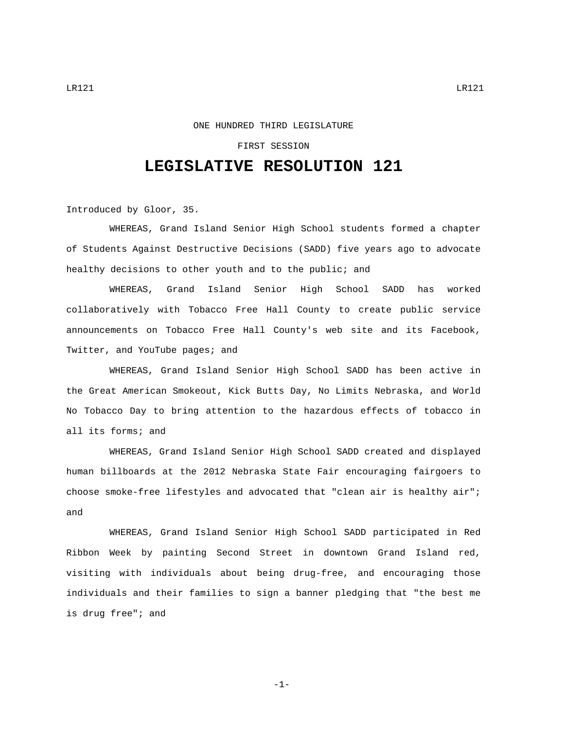## ONE HUNDRED THIRD LEGISLATURE

## FIRST SESSION

## **LEGISLATIVE RESOLUTION 121**

Introduced by Gloor, 35.

WHEREAS, Grand Island Senior High School students formed a chapter of Students Against Destructive Decisions (SADD) five years ago to advocate healthy decisions to other youth and to the public; and

WHEREAS, Grand Island Senior High School SADD has worked collaboratively with Tobacco Free Hall County to create public service announcements on Tobacco Free Hall County's web site and its Facebook, Twitter, and YouTube pages; and

WHEREAS, Grand Island Senior High School SADD has been active in the Great American Smokeout, Kick Butts Day, No Limits Nebraska, and World No Tobacco Day to bring attention to the hazardous effects of tobacco in all its forms; and

WHEREAS, Grand Island Senior High School SADD created and displayed human billboards at the 2012 Nebraska State Fair encouraging fairgoers to choose smoke-free lifestyles and advocated that "clean air is healthy air"; and

WHEREAS, Grand Island Senior High School SADD participated in Red Ribbon Week by painting Second Street in downtown Grand Island red, visiting with individuals about being drug-free, and encouraging those individuals and their families to sign a banner pledging that "the best me is drug free"; and

-1-